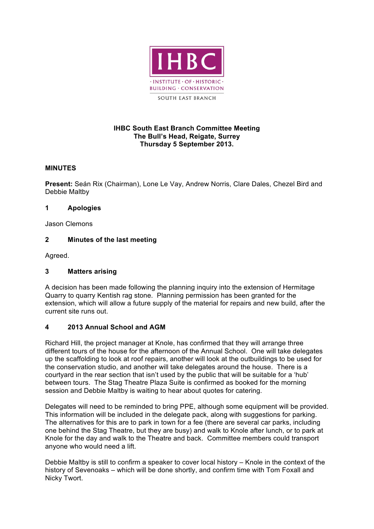

#### **IHBC South East Branch Committee Meeting The Bull's Head, Reigate, Surrey Thursday 5 September 2013.**

## **MINUTES**

**Present:** Seán Rix (Chairman), Lone Le Vay, Andrew Norris, Clare Dales, Chezel Bird and Debbie Maltby

#### **1 Apologies**

Jason Clemons

## **2 Minutes of the last meeting**

Agreed.

## **3 Matters arising**

A decision has been made following the planning inquiry into the extension of Hermitage Quarry to quarry Kentish rag stone. Planning permission has been granted for the extension, which will allow a future supply of the material for repairs and new build, after the current site runs out.

## **4 2013 Annual School and AGM**

Richard Hill, the project manager at Knole, has confirmed that they will arrange three different tours of the house for the afternoon of the Annual School. One will take delegates up the scaffolding to look at roof repairs, another will look at the outbuildings to be used for the conservation studio, and another will take delegates around the house. There is a courtyard in the rear section that isn't used by the public that will be suitable for a 'hub' between tours. The Stag Theatre Plaza Suite is confirmed as booked for the morning session and Debbie Maltby is waiting to hear about quotes for catering.

Delegates will need to be reminded to bring PPE, although some equipment will be provided. This information will be included in the delegate pack, along with suggestions for parking. The alternatives for this are to park in town for a fee (there are several car parks, including one behind the Stag Theatre, but they are busy) and walk to Knole after lunch, or to park at Knole for the day and walk to the Theatre and back. Committee members could transport anyone who would need a lift.

Debbie Maltby is still to confirm a speaker to cover local history – Knole in the context of the history of Sevenoaks – which will be done shortly, and confirm time with Tom Foxall and Nicky Twort.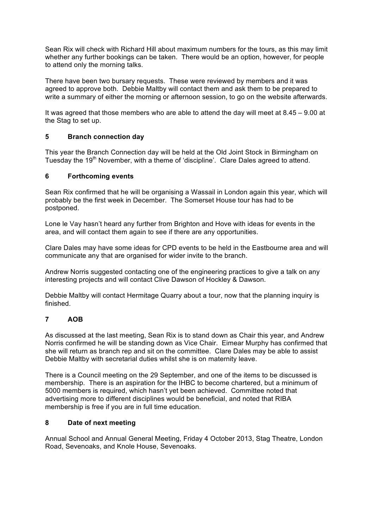Sean Rix will check with Richard Hill about maximum numbers for the tours, as this may limit whether any further bookings can be taken. There would be an option, however, for people to attend only the morning talks.

There have been two bursary requests. These were reviewed by members and it was agreed to approve both. Debbie Maltby will contact them and ask them to be prepared to write a summary of either the morning or afternoon session, to go on the website afterwards.

It was agreed that those members who are able to attend the day will meet at 8.45 – 9.00 at the Stag to set up.

## **5 Branch connection day**

This year the Branch Connection day will be held at the Old Joint Stock in Birmingham on Tuesday the 19<sup>th</sup> November, with a theme of 'discipline'. Clare Dales agreed to attend.

#### **6 Forthcoming events**

Sean Rix confirmed that he will be organising a Wassail in London again this year, which will probably be the first week in December. The Somerset House tour has had to be postponed.

Lone le Vay hasn't heard any further from Brighton and Hove with ideas for events in the area, and will contact them again to see if there are any opportunities.

Clare Dales may have some ideas for CPD events to be held in the Eastbourne area and will communicate any that are organised for wider invite to the branch.

Andrew Norris suggested contacting one of the engineering practices to give a talk on any interesting projects and will contact Clive Dawson of Hockley & Dawson.

Debbie Maltby will contact Hermitage Quarry about a tour, now that the planning inquiry is finished.

# **7 AOB**

As discussed at the last meeting, Sean Rix is to stand down as Chair this year, and Andrew Norris confirmed he will be standing down as Vice Chair. Eimear Murphy has confirmed that she will return as branch rep and sit on the committee. Clare Dales may be able to assist Debbie Maltby with secretarial duties whilst she is on maternity leave.

There is a Council meeting on the 29 September, and one of the items to be discussed is membership. There is an aspiration for the IHBC to become chartered, but a minimum of 5000 members is required, which hasn't yet been achieved. Committee noted that advertising more to different disciplines would be beneficial, and noted that RIBA membership is free if you are in full time education.

#### **8 Date of next meeting**

Annual School and Annual General Meeting, Friday 4 October 2013, Stag Theatre, London Road, Sevenoaks, and Knole House, Sevenoaks.